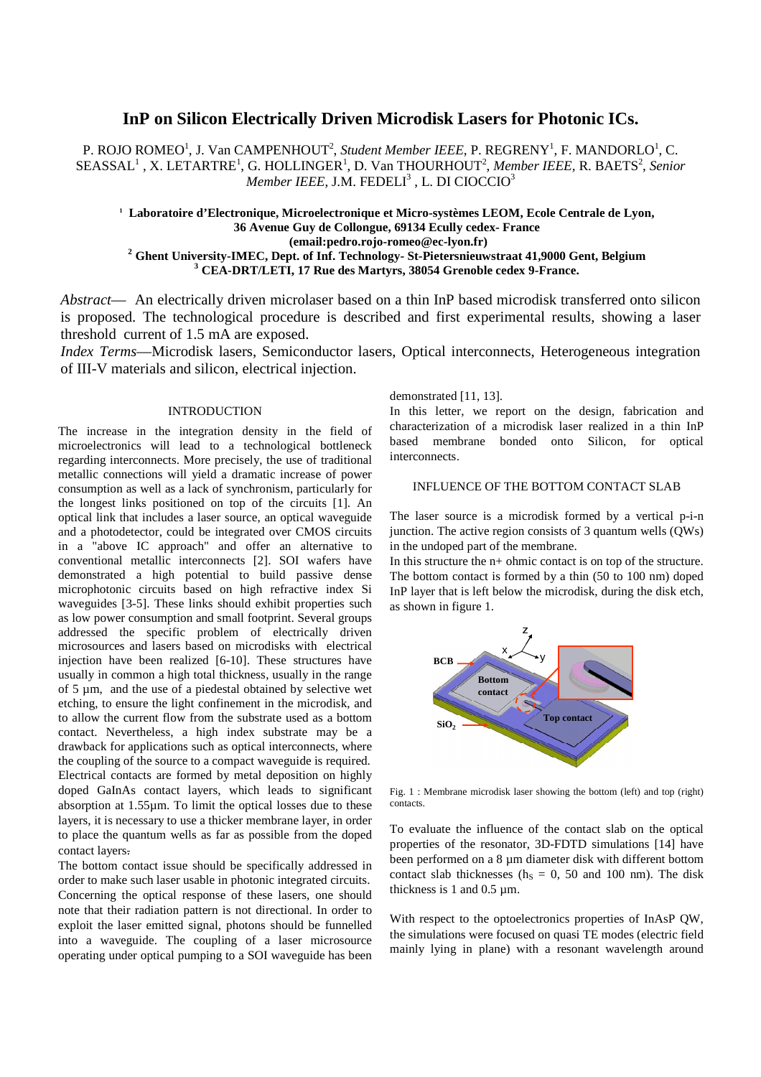# **InP on Silicon Electrically Driven Microdisk Lasers for Photonic ICs.**

P. ROJO ROMEO<sup>1</sup>, J. Van CAMPENHOUT<sup>2</sup>, Student Member IEEE, P. REGRENY<sup>1</sup>, F. MANDORLO<sup>1</sup>, C. SEASSAL<sup>1</sup>, X. LETARTRE<sup>1</sup>, G. HOLLINGER<sup>1</sup>, D. Van THOURHOUT<sup>2</sup>, Member IEEE, R. BAETS<sup>2</sup>, Senior  $\emph{Member IEEE}$ , J.M. FEDELI<sup>3</sup> , L. DI CIOCCIO<sup>3</sup>

**1 Laboratoire d'Electronique, Microelectronique et Micro-systèmes LEOM, Ecole Centrale de Lyon, 36 Avenue Guy de Collongue, 69134 Ecully cedex- France (email:pedro.rojo-romeo@ec-lyon.fr) 2 Ghent University-IMEC, Dept. of Inf. Technology- St-Pietersnieuwstraat 41,9000 Gent, Belgium 3 CEA-DRT/LETI, 17 Rue des Martyrs, 38054 Grenoble cedex 9-France.** 

*Abstract*— An electrically driven microlaser based on a thin InP based microdisk transferred onto silicon is proposed. The technological procedure is described and first experimental results, showing a laser threshold current of 1.5 mA are exposed.

*Index Terms*—Microdisk lasers, Semiconductor lasers, Optical interconnects, Heterogeneous integration of III-V materials and silicon, electrical injection.

#### INTRODUCTION

The increase in the integration density in the field of microelectronics will lead to a technological bottleneck regarding interconnects. More precisely, the use of traditional metallic connections will yield a dramatic increase of power consumption as well as a lack of synchronism, particularly for the longest links positioned on top of the circuits [1]. An optical link that includes a laser source, an optical waveguide and a photodetector, could be integrated over CMOS circuits in a "above IC approach" and offer an alternative to conventional metallic interconnects [2]. SOI wafers have demonstrated a high potential to build passive dense microphotonic circuits based on high refractive index Si waveguides [3-5]. These links should exhibit properties such as low power consumption and small footprint. Several groups addressed the specific problem of electrically driven microsources and lasers based on microdisks with electrical injection have been realized [6-10]. These structures have usually in common a high total thickness, usually in the range of 5 µm, and the use of a piedestal obtained by selective wet etching, to ensure the light confinement in the microdisk, and to allow the current flow from the substrate used as a bottom contact. Nevertheless, a high index substrate may be a drawback for applications such as optical interconnects, where the coupling of the source to a compact waveguide is required. Electrical contacts are formed by metal deposition on highly doped GaInAs contact layers, which leads to significant absorption at 1.55µm. To limit the optical losses due to these layers, it is necessary to use a thicker membrane layer, in order to place the quantum wells as far as possible from the doped contact layers.

The bottom contact issue should be specifically addressed in order to make such laser usable in photonic integrated circuits. Concerning the optical response of these lasers, one should note that their radiation pattern is not directional. In order to exploit the laser emitted signal, photons should be funnelled into a waveguide. The coupling of a laser microsource operating under optical pumping to a SOI waveguide has been

#### demonstrated [11, 13].

In this letter, we report on the design, fabrication and characterization of a microdisk laser realized in a thin InP based membrane bonded onto Silicon, for optical interconnects.

## INFLUENCE OF THE BOTTOM CONTACT SLAB

The laser source is a microdisk formed by a vertical p-i-n iunction. The active region consists of  $3$  quantum wells ( $\text{OWs}$ ) in the undoped part of the membrane.

In this structure the n+ ohmic contact is on top of the structure. The bottom contact is formed by a thin (50 to 100 nm) doped InP layer that is left below the microdisk, during the disk etch, as shown in figure 1.



Fig. 1 : Membrane microdisk laser showing the bottom (left) and top (right) contacts.

To evaluate the influence of the contact slab on the optical properties of the resonator, 3D-FDTD simulations [14] have been performed on a 8 µm diameter disk with different bottom contact slab thicknesses ( $h<sub>S</sub> = 0$ , 50 and 100 nm). The disk thickness is 1 and 0.5 µm.

With respect to the optoelectronics properties of InAsP QW, the simulations were focused on quasi TE modes (electric field mainly lying in plane) with a resonant wavelength around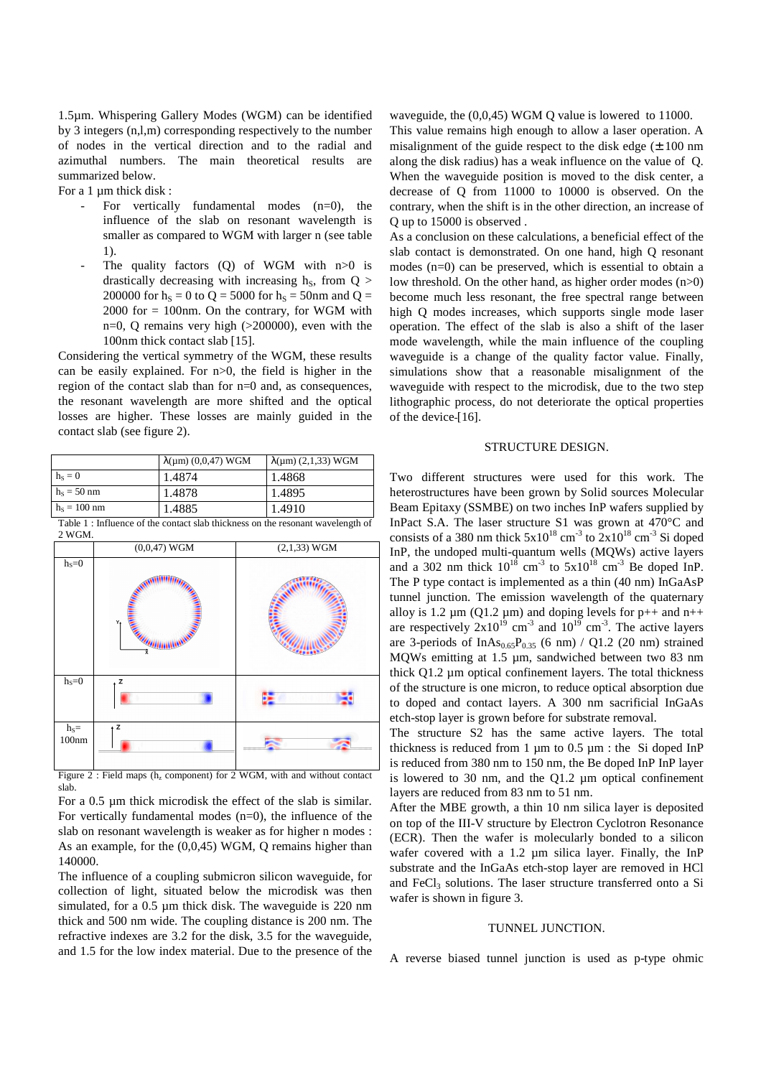1.5µm. Whispering Gallery Modes (WGM) can be identified by 3 integers (n,l,m) corresponding respectively to the number of nodes in the vertical direction and to the radial and azimuthal numbers. The main theoretical results are summarized below.

For a 1 µm thick disk :

- For vertically fundamental modes  $(n=0)$ , the influence of the slab on resonant wavelength is smaller as compared to WGM with larger n (see table 1).
- The quality factors (Q) of WGM with  $n>0$  is drastically decreasing with increasing  $h<sub>S</sub>$ , from Q > 200000 for  $h_s = 0$  to  $Q = 5000$  for  $h_s = 50$ nm and  $Q =$  $2000$  for  $= 100$ nm. On the contrary, for WGM with n=0, Q remains very high (>200000), even with the 100nm thick contact slab [15].

Considering the vertical symmetry of the WGM, these results can be easily explained. For n>0, the field is higher in the region of the contact slab than for n=0 and, as consequences, the resonant wavelength are more shifted and the optical losses are higher. These losses are mainly guided in the contact slab (see figure 2).

|                | $\lambda(\mu m)$ (0,0,47) WGM | $\lambda(\mu m)$ (2,1,33) WGM |
|----------------|-------------------------------|-------------------------------|
| $h_s = 0$      | 1.4874                        | 1.4868                        |
| $hS = 50$ nm   | 1.4878                        | 1.4895                        |
| $h_s = 100$ nm | 1.4885                        | 1.4910                        |

Table 1 : Influence of the contact slab thickness on the resonant wavelength of 2 WGM.



Figure 2 : Field maps ( $h<sub>z</sub>$  component) for 2 WGM, with and without contact slab.

For a 0.5 µm thick microdisk the effect of the slab is similar. For vertically fundamental modes  $(n=0)$ , the influence of the slab on resonant wavelength is weaker as for higher n modes : As an example, for the (0,0,45) WGM, Q remains higher than 140000.

The influence of a coupling submicron silicon waveguide, for collection of light, situated below the microdisk was then simulated, for a 0.5 µm thick disk. The waveguide is 220 nm thick and 500 nm wide. The coupling distance is 200 nm. The refractive indexes are 3.2 for the disk, 3.5 for the waveguide, and 1.5 for the low index material. Due to the presence of the

waveguide, the (0,0,45) WGM Q value is lowered to 11000. This value remains high enough to allow a laser operation. A misalignment of the guide respect to the disk edge  $(\pm 100 \text{ nm})$ along the disk radius) has a weak influence on the value of Q. When the waveguide position is moved to the disk center, a decrease of Q from 11000 to 10000 is observed. On the contrary, when the shift is in the other direction, an increase of Q up to 15000 is observed .

As a conclusion on these calculations, a beneficial effect of the slab contact is demonstrated. On one hand, high Q resonant modes (n=0) can be preserved, which is essential to obtain a low threshold. On the other hand, as higher order modes (n>0) become much less resonant, the free spectral range between high Q modes increases, which supports single mode laser operation. The effect of the slab is also a shift of the laser mode wavelength, while the main influence of the coupling waveguide is a change of the quality factor value. Finally, simulations show that a reasonable misalignment of the waveguide with respect to the microdisk, due to the two step lithographic process, do not deteriorate the optical properties of the device-[16].

### STRUCTURE DESIGN.

Two different structures were used for this work. The heterostructures have been grown by Solid sources Molecular Beam Epitaxy (SSMBE) on two inches InP wafers supplied by InPact S.A. The laser structure S1 was grown at 470°C and consists of a 380 nm thick  $5x10^{18}$  cm<sup>-3</sup> to  $2x10^{18}$  cm<sup>-3</sup> Si doped InP, the undoped multi-quantum wells (MQWs) active layers and a 302 nm thick  $10^{18}$  cm<sup>-3</sup> to  $5x10^{18}$  cm<sup>-3</sup> Be doped InP. The P type contact is implemented as a thin (40 nm) InGaAsP tunnel junction. The emission wavelength of the quaternary alloy is 1.2  $\mu$ m (Q1.2  $\mu$ m) and doping levels for p++ and n++ are respectively  $2x10^{19}$  cm<sup>-3</sup> and  $10^{19}$  cm<sup>-3</sup>. The active layers are 3-periods of InAs<sub>0.65</sub>P<sub>0.35</sub> (6 nm) / Q1.2 (20 nm) strained MQWs emitting at 1.5 µm, sandwiched between two 83 nm thick Q1.2 µm optical confinement layers. The total thickness of the structure is one micron, to reduce optical absorption due to doped and contact layers. A 300 nm sacrificial InGaAs etch-stop layer is grown before for substrate removal.

The structure S2 has the same active layers. The total thickness is reduced from  $1 \mu m$  to  $0.5 \mu m$ : the Si doped InP is reduced from 380 nm to 150 nm, the Be doped InP InP layer is lowered to  $30 \text{ nm}$ , and the  $01.2 \text{ nm}$  optical confinement layers are reduced from 83 nm to 51 nm.

After the MBE growth, a thin 10 nm silica layer is deposited on top of the III-V structure by Electron Cyclotron Resonance (ECR). Then the wafer is molecularly bonded to a silicon wafer covered with a 1.2  $\mu$ m silica layer. Finally, the InP substrate and the InGaAs etch-stop layer are removed in HCl and FeCl<sub>3</sub> solutions. The laser structure transferred onto a Si wafer is shown in figure 3.

#### TUNNEL JUNCTION.

A reverse biased tunnel junction is used as p-type ohmic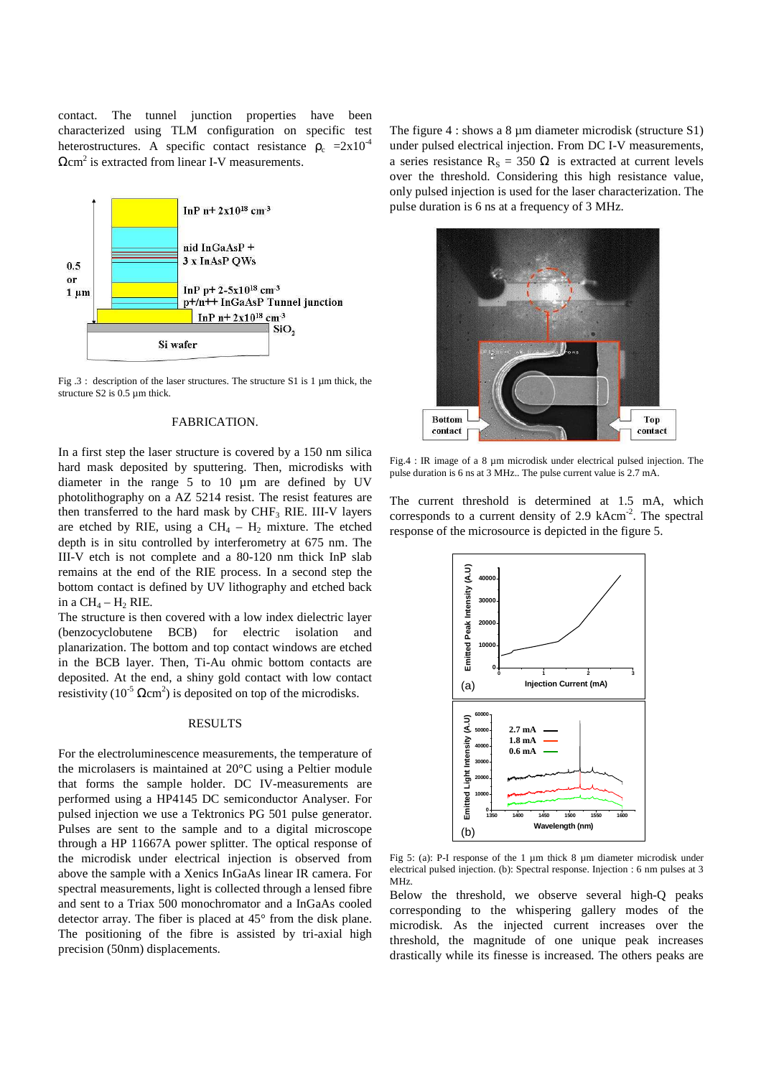contact. The tunnel junction properties have been characterized using TLM configuration on specific test heterostructures. A specific contact resistance  $\rho_c = 2x10^4$  $Ωcm<sup>2</sup>$  is extracted from linear I-V measurements.



Fig .3 : description of the laser structures. The structure S1 is 1 µm thick, the structure S2 is 0.5 µm thick.

#### FABRICATION.

In a first step the laser structure is covered by a 150 nm silica hard mask deposited by sputtering. Then, microdisks with diameter in the range 5 to 10 µm are defined by UV photolithography on a AZ 5214 resist. The resist features are then transferred to the hard mask by  $CHF<sub>3</sub>$  RIE. III-V layers are etched by RIE, using a  $CH_4 - H_2$  mixture. The etched depth is in situ controlled by interferometry at 675 nm. The III-V etch is not complete and a 80-120 nm thick InP slab remains at the end of the RIE process. In a second step the bottom contact is defined by UV lithography and etched back in a  $CH_4 - H_2$  RIE.

The structure is then covered with a low index dielectric layer (benzocyclobutene BCB) for electric isolation and planarization. The bottom and top contact windows are etched in the BCB layer. Then, Ti-Au ohmic bottom contacts are deposited. At the end, a shiny gold contact with low contact resistivity ( $10^{-5}$   $\Omega$ cm<sup>2</sup>) is deposited on top of the microdisks.

#### RESULTS

For the electroluminescence measurements, the temperature of the microlasers is maintained at 20°C using a Peltier module that forms the sample holder. DC IV-measurements are performed using a HP4145 DC semiconductor Analyser. For pulsed injection we use a Tektronics PG 501 pulse generator. Pulses are sent to the sample and to a digital microscope through a HP 11667A power splitter. The optical response of the microdisk under electrical injection is observed from above the sample with a Xenics InGaAs linear IR camera. For spectral measurements, light is collected through a lensed fibre and sent to a Triax 500 monochromator and a InGaAs cooled detector array. The fiber is placed at 45° from the disk plane. The positioning of the fibre is assisted by tri-axial high precision (50nm) displacements.

The figure  $4:$  shows a  $8 \mu m$  diameter microdisk (structure S1) under pulsed electrical injection. From DC I-V measurements, a series resistance  $R_s = 350 \Omega$  is extracted at current levels over the threshold. Considering this high resistance value, only pulsed injection is used for the laser characterization. The pulse duration is 6 ns at a frequency of 3 MHz.



Fig.4 : IR image of a 8 µm microdisk under electrical pulsed injection. The pulse duration is 6 ns at 3 MHz.. The pulse current value is 2.7 mA.

The current threshold is determined at 1.5 mA, which corresponds to a current density of 2.9 kAcm<sup>-2</sup>. The spectral response of the microsource is depicted in the figure 5.



Fig 5: (a): P-I response of the 1 µm thick 8 µm diameter microdisk under electrical pulsed injection. (b): Spectral response. Injection : 6 nm pulses at 3 MHz.

Below the threshold, we observe several high-Q peaks corresponding to the whispering gallery modes of the microdisk. As the injected current increases over the threshold, the magnitude of one unique peak increases drastically while its finesse is increased. The others peaks are